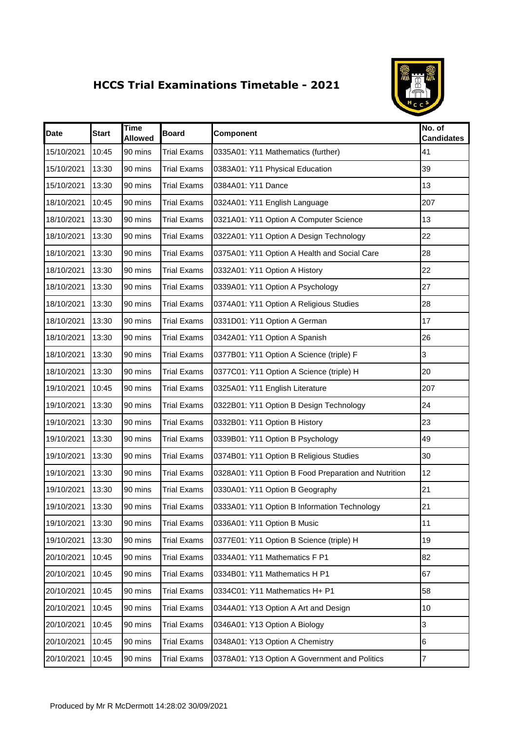## **HCCS Trial Examinations Timetable - 2021**



| <b>Date</b> | <b>Start</b> | <b>Time</b><br><b>Allowed</b> | <b>Board</b>       | Component                                            | No. of<br><b>Candidates</b> |
|-------------|--------------|-------------------------------|--------------------|------------------------------------------------------|-----------------------------|
| 15/10/2021  | 10:45        | 90 mins                       | <b>Trial Exams</b> | 0335A01: Y11 Mathematics (further)                   | 41                          |
| 15/10/2021  | 13:30        | 90 mins                       | <b>Trial Exams</b> | 0383A01: Y11 Physical Education                      | 39                          |
| 15/10/2021  | 13:30        | 90 mins                       | <b>Trial Exams</b> | 0384A01: Y11 Dance                                   | 13                          |
| 18/10/2021  | 10:45        | 90 mins                       | <b>Trial Exams</b> | 0324A01: Y11 English Language                        | 207                         |
| 18/10/2021  | 13:30        | 90 mins                       | <b>Trial Exams</b> | 0321A01: Y11 Option A Computer Science               | 13                          |
| 18/10/2021  | 13:30        | 90 mins                       | <b>Trial Exams</b> | 0322A01: Y11 Option A Design Technology              | 22                          |
| 18/10/2021  | 13:30        | 90 mins                       | <b>Trial Exams</b> | 0375A01: Y11 Option A Health and Social Care         | 28                          |
| 18/10/2021  | 13:30        | 90 mins                       | <b>Trial Exams</b> | 0332A01: Y11 Option A History                        | 22                          |
| 18/10/2021  | 13:30        | 90 mins                       | <b>Trial Exams</b> | 0339A01: Y11 Option A Psychology                     | 27                          |
| 18/10/2021  | 13:30        | 90 mins                       | <b>Trial Exams</b> | 0374A01: Y11 Option A Religious Studies              | 28                          |
| 18/10/2021  | 13:30        | 90 mins                       | <b>Trial Exams</b> | 0331D01: Y11 Option A German                         | 17                          |
| 18/10/2021  | 13:30        | 90 mins                       | <b>Trial Exams</b> | 0342A01: Y11 Option A Spanish                        | 26                          |
| 18/10/2021  | 13:30        | 90 mins                       | <b>Trial Exams</b> | 0377B01: Y11 Option A Science (triple) F             | 3                           |
| 18/10/2021  | 13:30        | 90 mins                       | <b>Trial Exams</b> | 0377C01: Y11 Option A Science (triple) H             | 20                          |
| 19/10/2021  | 10:45        | 90 mins                       | <b>Trial Exams</b> | 0325A01: Y11 English Literature                      | 207                         |
| 19/10/2021  | 13:30        | 90 mins                       | <b>Trial Exams</b> | 0322B01: Y11 Option B Design Technology              | 24                          |
| 19/10/2021  | 13:30        | 90 mins                       | <b>Trial Exams</b> | 0332B01: Y11 Option B History                        | 23                          |
| 19/10/2021  | 13:30        | 90 mins                       | <b>Trial Exams</b> | 0339B01: Y11 Option B Psychology                     | 49                          |
| 19/10/2021  | 13:30        | 90 mins                       | <b>Trial Exams</b> | 0374B01: Y11 Option B Religious Studies              | 30                          |
| 19/10/2021  | 13:30        | 90 mins                       | <b>Trial Exams</b> | 0328A01: Y11 Option B Food Preparation and Nutrition | 12                          |
| 19/10/2021  | 13:30        | 90 mins                       | <b>Trial Exams</b> | 0330A01: Y11 Option B Geography                      | 21                          |
| 19/10/2021  | 13:30        | 90 mins                       | <b>Trial Exams</b> | 0333A01: Y11 Option B Information Technology         | 21                          |
| 19/10/2021  | 13:30        | 90 mins                       | <b>Trial Exams</b> | 0336A01: Y11 Option B Music                          | 11                          |
| 19/10/2021  | 13:30        | 90 mins                       | <b>Trial Exams</b> | 0377E01: Y11 Option B Science (triple) H             | 19                          |
| 20/10/2021  | 10:45        | 90 mins                       | <b>Trial Exams</b> | 0334A01: Y11 Mathematics F P1                        | 82                          |
| 20/10/2021  | 10:45        | 90 mins                       | <b>Trial Exams</b> | 0334B01: Y11 Mathematics H P1                        | 67                          |
| 20/10/2021  | 10:45        | 90 mins                       | <b>Trial Exams</b> | 0334C01: Y11 Mathematics H+ P1                       | 58                          |
| 20/10/2021  | 10:45        | 90 mins                       | <b>Trial Exams</b> | 0344A01: Y13 Option A Art and Design                 | 10                          |
| 20/10/2021  | 10:45        | 90 mins                       | <b>Trial Exams</b> | 0346A01: Y13 Option A Biology                        | 3                           |
| 20/10/2021  | 10:45        | 90 mins                       | <b>Trial Exams</b> | 0348A01: Y13 Option A Chemistry                      | 6                           |
| 20/10/2021  | 10:45        | 90 mins                       | <b>Trial Exams</b> | 0378A01: Y13 Option A Government and Politics        | $\overline{7}$              |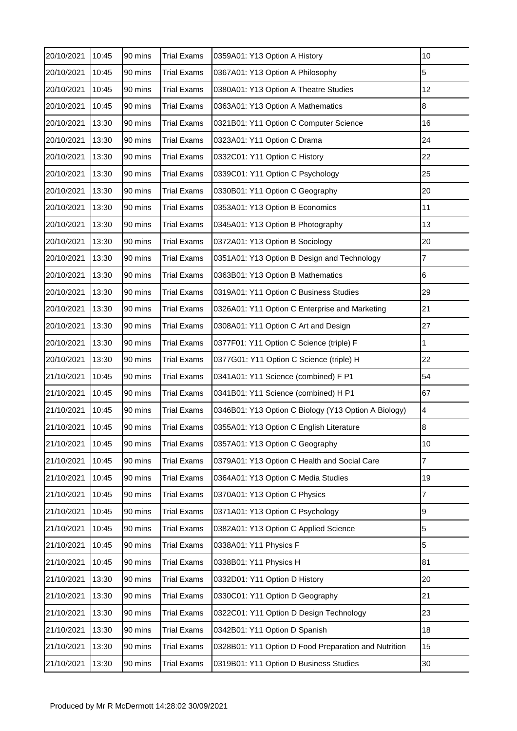| 20/10/2021 | 10:45 | 90 mins | <b>Trial Exams</b> | 0359A01: Y13 Option A History                        | 10              |
|------------|-------|---------|--------------------|------------------------------------------------------|-----------------|
| 20/10/2021 | 10:45 | 90 mins | <b>Trial Exams</b> | 0367A01: Y13 Option A Philosophy                     | 5               |
| 20/10/2021 | 10:45 | 90 mins | <b>Trial Exams</b> | 0380A01: Y13 Option A Theatre Studies                | 12              |
| 20/10/2021 | 10:45 | 90 mins | <b>Trial Exams</b> | 0363A01: Y13 Option A Mathematics                    | 8               |
| 20/10/2021 | 13:30 | 90 mins | <b>Trial Exams</b> | 0321B01: Y11 Option C Computer Science               | 16              |
| 20/10/2021 | 13:30 | 90 mins | <b>Trial Exams</b> | 0323A01: Y11 Option C Drama                          | 24              |
| 20/10/2021 | 13:30 | 90 mins | <b>Trial Exams</b> | 0332C01: Y11 Option C History                        | 22              |
| 20/10/2021 | 13:30 | 90 mins | <b>Trial Exams</b> | 0339C01: Y11 Option C Psychology                     | 25              |
| 20/10/2021 | 13:30 | 90 mins | <b>Trial Exams</b> | 0330B01: Y11 Option C Geography                      | 20              |
| 20/10/2021 | 13:30 | 90 mins | <b>Trial Exams</b> | 0353A01: Y13 Option B Economics                      | 11              |
| 20/10/2021 | 13:30 | 90 mins | <b>Trial Exams</b> | 0345A01: Y13 Option B Photography                    | 13              |
| 20/10/2021 | 13:30 | 90 mins | <b>Trial Exams</b> | 0372A01: Y13 Option B Sociology                      | 20              |
| 20/10/2021 | 13:30 | 90 mins | <b>Trial Exams</b> | 0351A01: Y13 Option B Design and Technology          | 7               |
| 20/10/2021 | 13:30 | 90 mins | <b>Trial Exams</b> | 0363B01: Y13 Option B Mathematics                    | $6\phantom{.}6$ |
| 20/10/2021 | 13:30 | 90 mins | <b>Trial Exams</b> | 0319A01: Y11 Option C Business Studies               | 29              |
| 20/10/2021 | 13:30 | 90 mins | <b>Trial Exams</b> | 0326A01: Y11 Option C Enterprise and Marketing       | 21              |
| 20/10/2021 | 13:30 | 90 mins | <b>Trial Exams</b> | 0308A01: Y11 Option C Art and Design                 | 27              |
| 20/10/2021 | 13:30 | 90 mins | <b>Trial Exams</b> | 0377F01: Y11 Option C Science (triple) F             | 1               |
| 20/10/2021 | 13:30 | 90 mins | <b>Trial Exams</b> | 0377G01: Y11 Option C Science (triple) H             | 22              |
| 21/10/2021 | 10:45 | 90 mins | <b>Trial Exams</b> | 0341A01: Y11 Science (combined) F P1                 | 54              |
| 21/10/2021 | 10:45 | 90 mins | <b>Trial Exams</b> | 0341B01: Y11 Science (combined) H P1                 | 67              |
| 21/10/2021 | 10:45 | 90 mins | <b>Trial Exams</b> | 0346B01: Y13 Option C Biology (Y13 Option A Biology) | $\overline{4}$  |
| 21/10/2021 | 10:45 | 90 mins | <b>Trial Exams</b> | 0355A01: Y13 Option C English Literature             | $\bf8$          |
| 21/10/2021 | 10:45 | 90 mins | <b>Trial Exams</b> | 0357A01: Y13 Option C Geography                      | 10              |
| 21/10/2021 | 10:45 | 90 mins | <b>Trial Exams</b> | 0379A01: Y13 Option C Health and Social Care         | 7               |
| 21/10/2021 | 10:45 | 90 mins | <b>Trial Exams</b> | 0364A01: Y13 Option C Media Studies                  | 19              |
| 21/10/2021 | 10:45 | 90 mins | <b>Trial Exams</b> | 0370A01: Y13 Option C Physics                        | 7               |
| 21/10/2021 | 10:45 | 90 mins | <b>Trial Exams</b> | 0371A01: Y13 Option C Psychology                     | 9               |
| 21/10/2021 | 10:45 | 90 mins | <b>Trial Exams</b> | 0382A01: Y13 Option C Applied Science                | 5               |
| 21/10/2021 | 10:45 | 90 mins | <b>Trial Exams</b> | 0338A01: Y11 Physics F                               | 5               |
| 21/10/2021 | 10:45 | 90 mins | <b>Trial Exams</b> | 0338B01: Y11 Physics H                               | 81              |
| 21/10/2021 | 13:30 | 90 mins | <b>Trial Exams</b> | 0332D01: Y11 Option D History                        | 20              |
| 21/10/2021 | 13:30 | 90 mins | <b>Trial Exams</b> | 0330C01: Y11 Option D Geography                      | 21              |
| 21/10/2021 | 13:30 | 90 mins | <b>Trial Exams</b> | 0322C01: Y11 Option D Design Technology              | 23              |
| 21/10/2021 | 13:30 | 90 mins | <b>Trial Exams</b> | 0342B01: Y11 Option D Spanish                        | 18              |
| 21/10/2021 | 13:30 | 90 mins | <b>Trial Exams</b> | 0328B01: Y11 Option D Food Preparation and Nutrition | 15              |
| 21/10/2021 | 13:30 | 90 mins | <b>Trial Exams</b> | 0319B01: Y11 Option D Business Studies               | 30              |